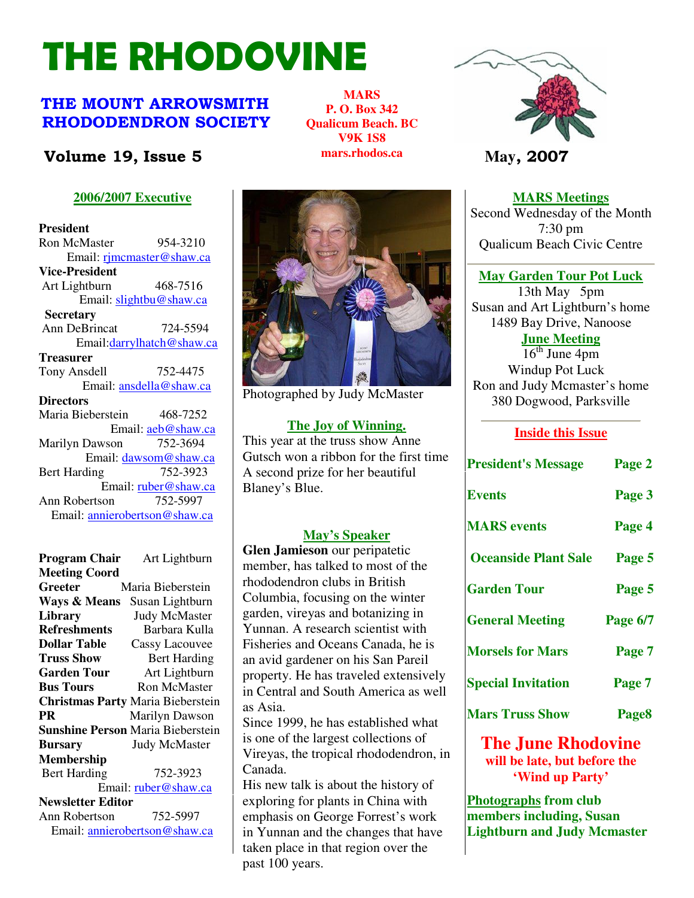# THE RHODOVINE

### THE MOUNT ARROWSMITH RHODODENDRON SOCIETY

### **Volume 19, Issue 5 May**, 2007

### **2006/2007 Executive**

**President**  Ron McMaster 954-3210 Email: rjmcmaster@shaw.ca **Vice-President**  Art Lightburn 468-7516 Email: slightbu@shaw.ca **Secretary** Ann DeBrincat 724-5594 Email:darrylhatch@shaw.ca **Treasurer** Tony Ansdell 752-4475 Email: ansdella@shaw.ca **Directors**  Maria Bieberstein 468-7252 Email: aeb@shaw.ca Marilyn Dawson 752-3694 Email: dawsom@shaw.ca Bert Harding 752-3923 Email: ruber@shaw.ca Ann Robertson 752-5997 Email: annierobertson@shaw.ca

### **Program Chair** Art Lightburn **Meeting Coord Greeter** Maria Bieberstein **Ways & Means** Susan Lightburn **Library** Judy McMaster<br> **Refreshments** Barbara Kulla **Refreshments Dollar Table** Cassy Lacouvee **Truss Show** Bert Harding **Garden Tour** Art Lightburn **Bus Tours Ron McMaster Christmas Party** Maria Bieberstein **PR Marilyn Dawson Sunshine Person** Maria Bieberstein **Bursary** Judy McMaster **Membership**  Bert Harding 752-3923 Email: ruber@shaw.ca **Newsletter Editor** Ann Robertson 752-5997 Email: annierobertson@shaw.ca



**MARS P. O. Box 342 Qualicum Beach. BC V9K 1S8 mars.rhodos.ca** 

Photographed by Judy McMaster

### **The Joy of Winning.**

This year at the truss show Anne Gutsch won a ribbon for the first time A second prize for her beautiful Blaney's Blue.

### **May's Speaker**

**Glen Jamieson** our peripatetic member, has talked to most of the rhododendron clubs in British Columbia, focusing on the winter garden, vireyas and botanizing in Yunnan. A research scientist with Fisheries and Oceans Canada, he is an avid gardener on his San Pareil property. He has traveled extensively in Central and South America as well as Asia.

Page 2 The Rhodovine Volume 15, Issue 3 Vireyas, the tropical rhododendron, in Since 1999, he has established what is one of the largest collections of Canada.

His new talk is about the history of exploring for plants in China with emphasis on George Forrest's work in Yunnan and the changes that have taken place in that region over the past 100 years.



**MARS Meetings** Second Wednesday of the Month 7:30 pm Qualicum Beach Civic Centre

### **May Garden Tour Pot Luck**

13th May 5pm Susan and Art Lightburn's home 1489 Bay Drive, Nanoose

**June Meeting**

 $16<sup>th</sup>$  June 4pm Windup Pot Luck Ron and Judy Mcmaster's home 380 Dogwood, Parksville

### **Inside this Issue**

| <b>President's Message</b>  | Page 2            |
|-----------------------------|-------------------|
| <b>Events</b>               | Page 3            |
| <b>MARS</b> events          | Page 4            |
| <b>Oceanside Plant Sale</b> | Page 5            |
| <b>Garden Tour</b>          | Page 5            |
| <b>General Meeting</b>      | Page 6/7          |
| <b>Morsels for Mars</b>     | Page 7            |
| <b>Special Invitation</b>   | Page 7            |
| <b>Mars Truss Show</b>      | Page <sub>8</sub> |

**The June Rhodovine will be late, but before the 'Wind up Party'**

**Photographs from club members including, Susan Lightburn and Judy Mcmaster**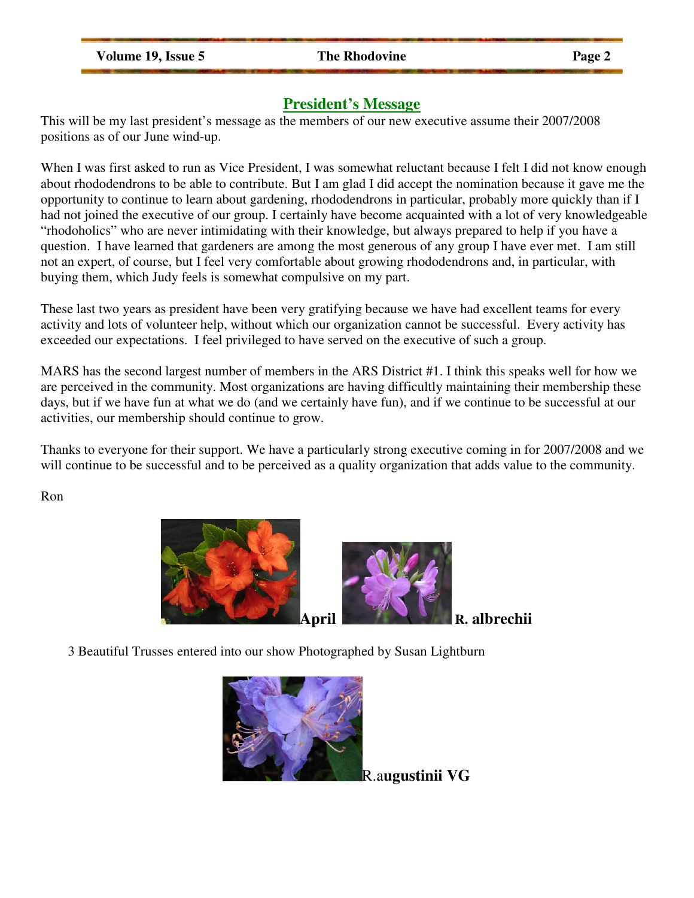**Volume 19, Issue 5 The Rhodovine Page 2** 

### **President's Message**

This will be my last president's message as the members of our new executive assume their 2007/2008 positions as of our June wind-up.

When I was first asked to run as Vice President, I was somewhat reluctant because I felt I did not know enough about rhododendrons to be able to contribute. But I am glad I did accept the nomination because it gave me the opportunity to continue to learn about gardening, rhododendrons in particular, probably more quickly than if I had not joined the executive of our group. I certainly have become acquainted with a lot of very knowledgeable "rhodoholics" who are never intimidating with their knowledge, but always prepared to help if you have a question. I have learned that gardeners are among the most generous of any group I have ever met. I am still not an expert, of course, but I feel very comfortable about growing rhododendrons and, in particular, with buying them, which Judy feels is somewhat compulsive on my part.

These last two years as president have been very gratifying because we have had excellent teams for every activity and lots of volunteer help, without which our organization cannot be successful. Every activity has exceeded our expectations. I feel privileged to have served on the executive of such a group.

MARS has the second largest number of members in the ARS District #1. I think this speaks well for how we are perceived in the community. Most organizations are having difficultly maintaining their membership these days, but if we have fun at what we do (and we certainly have fun), and if we continue to be successful at our activities, our membership should continue to grow.

Thanks to everyone for their support. We have a particularly strong executive coming in for 2007/2008 and we will continue to be successful and to be perceived as a quality organization that adds value to the community.

Ron





3 Beautiful Trusses entered into our show Photographed by Susan Lightburn



R.a**ugustinii VG**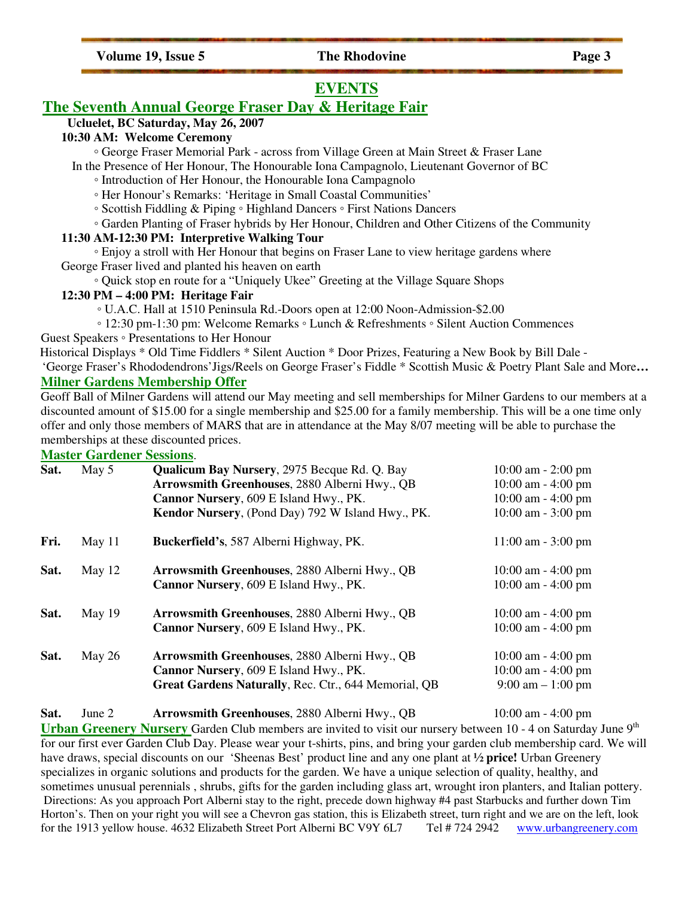Volume 19, Issue 5 The Rhodovine Page 3

### **EVENTS**

### **The Seventh Annual George Fraser Day & Heritage Fair**

### **Ucluelet, BC Saturday, May 26, 2007**

### **10:30 AM: Welcome Ceremony**

◦ George Fraser Memorial Park - across from Village Green at Main Street & Fraser Lane

- In the Presence of Her Honour, The Honourable Iona Campagnolo, Lieutenant Governor of BC
	- Introduction of Her Honour, the Honourable Iona Campagnolo
	- Her Honour's Remarks: 'Heritage in Small Coastal Communities'
	- Scottish Fiddling & Piping Highland Dancers First Nations Dancers
- Garden Planting of Fraser hybrids by Her Honour, Children and Other Citizens of the Community

### **11:30 AM-12:30 PM: Interpretive Walking Tour**

 ◦ Enjoy a stroll with Her Honour that begins on Fraser Lane to view heritage gardens where George Fraser lived and planted his heaven on earth

◦ Quick stop en route for a "Uniquely Ukee" Greeting at the Village Square Shops

### **12:30 PM – 4:00 PM: Heritage Fair**

◦ U.A.C. Hall at 1510 Peninsula Rd.-Doors open at 12:00 Noon-Admission-\$2.00

◦ 12:30 pm-1:30 pm: Welcome Remarks ◦ Lunch & Refreshments ◦ Silent Auction Commences

Guest Speakers ◦ Presentations to Her Honour

Historical Displays \* Old Time Fiddlers \* Silent Auction \* Door Prizes, Featuring a New Book by Bill Dale -

 'George Fraser's Rhododendrons'Jigs/Reels on George Fraser's Fiddle \* Scottish Music & Poetry Plant Sale and More**… Milner Gardens Membership Offer**

Geoff Ball of Milner Gardens will attend our May meeting and sell memberships for Milner Gardens to our members at a discounted amount of \$15.00 for a single membership and \$25.00 for a family membership. This will be a one time only offer and only those members of MARS that are in attendance at the May 8/07 meeting will be able to purchase the memberships at these discounted prices.

### **Master Gardener Sessions**.

| Sat. | May 5    | <b>Qualicum Bay Nursery, 2975 Becque Rd. Q. Bay</b><br>Arrowsmith Greenhouses, 2880 Alberni Hwy., QB<br>Cannor Nursery, 609 E Island Hwy., PK.<br>Kendor Nursery, (Pond Day) 792 W Island Hwy., PK. | $10:00$ am $- 2:00$ pm<br>$10:00$ am $-4:00$ pm<br>$10:00$ am $-4:00$ pm<br>$10:00$ am $-3:00$ pm |
|------|----------|-----------------------------------------------------------------------------------------------------------------------------------------------------------------------------------------------------|---------------------------------------------------------------------------------------------------|
| Fri. | May 11   | Buckerfield's, 587 Alberni Highway, PK.                                                                                                                                                             | $11:00$ am $-3:00$ pm                                                                             |
| Sat. | May 12   | Arrowsmith Greenhouses, 2880 Alberni Hwy., QB<br>Cannor Nursery, 609 E Island Hwy., PK.                                                                                                             | $10:00$ am $-4:00$ pm<br>$10:00$ am $-4:00$ pm                                                    |
| Sat. | May $19$ | Arrowsmith Greenhouses, 2880 Alberni Hwy., QB<br>Cannor Nursery, 609 E Island Hwy., PK.                                                                                                             | $10:00$ am $-4:00$ pm<br>$10:00$ am $-4:00$ pm                                                    |
| Sat. | May 26   | Arrowsmith Greenhouses, 2880 Alberni Hwy., QB<br>Cannor Nursery, 609 E Island Hwy., PK.<br>Great Gardens Naturally, Rec. Ctr., 644 Memorial, QB                                                     | $10:00$ am $-4:00$ pm<br>$10:00$ am $-4:00$ pm<br>$9:00 \text{ am} - 1:00 \text{ pm}$             |

**Sat.** June 2 **Arrowsmith Greenhouses**, 2880 Alberni Hwy., QB 10:00 am - 4:00 pm

**Urban Greenery Nursery** Garden Club members are invited to visit our nursery between 10 - 4 on Saturday June 9<sup>th</sup> for our first ever Garden Club Day. Please wear your t-shirts, pins, and bring your garden club membership card. We will have draws, special discounts on our 'Sheenas Best' product line and any one plant at **½ price!** Urban Greenery specializes in organic solutions and products for the garden. We have a unique selection of quality, healthy, and sometimes unusual perennials , shrubs, gifts for the garden including glass art, wrought iron planters, and Italian pottery. Directions: As you approach Port Alberni stay to the right, precede down highway #4 past Starbucks and further down Tim Horton's. Then on your right you will see a Chevron gas station, this is Elizabeth street, turn right and we are on the left, look for the 1913 yellow house. 4632 Elizabeth Street Port Alberni BC V9Y 6L7 Tel #724 2942 www.urbangreenery.com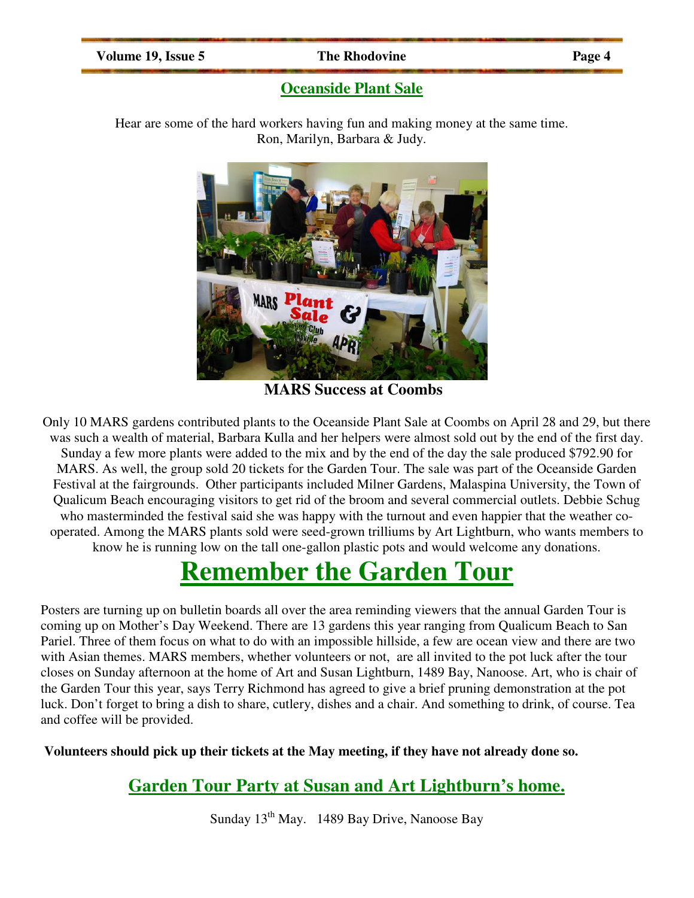### **Volume 19, Issue 5 The Rhodovine Page 4**

### **Oceanside Plant Sale**

Hear are some of the hard workers having fun and making money at the same time. Ron, Marilyn, Barbara & Judy.



**MARS Success at Coombs**

Only 10 MARS gardens contributed plants to the Oceanside Plant Sale at Coombs on April 28 and 29, but there was such a wealth of material, Barbara Kulla and her helpers were almost sold out by the end of the first day. Sunday a few more plants were added to the mix and by the end of the day the sale produced \$792.90 for MARS. As well, the group sold 20 tickets for the Garden Tour. The sale was part of the Oceanside Garden Festival at the fairgrounds. Other participants included Milner Gardens, Malaspina University, the Town of Qualicum Beach encouraging visitors to get rid of the broom and several commercial outlets. Debbie Schug who masterminded the festival said she was happy with the turnout and even happier that the weather cooperated. Among the MARS plants sold were seed-grown trilliums by Art Lightburn, who wants members to know he is running low on the tall one-gallon plastic pots and would welcome any donations.

# **Remember the Garden Tour**

Posters are turning up on bulletin boards all over the area reminding viewers that the annual Garden Tour is coming up on Mother's Day Weekend. There are 13 gardens this year ranging from Qualicum Beach to San Pariel. Three of them focus on what to do with an impossible hillside, a few are ocean view and there are two with Asian themes. MARS members, whether volunteers or not, are all invited to the pot luck after the tour closes on Sunday afternoon at the home of Art and Susan Lightburn, 1489 Bay, Nanoose. Art, who is chair of the Garden Tour this year, says Terry Richmond has agreed to give a brief pruning demonstration at the pot luck. Don't forget to bring a dish to share, cutlery, dishes and a chair. And something to drink, of course. Tea and coffee will be provided.

**Volunteers should pick up their tickets at the May meeting, if they have not already done so.** 

### **Garden Tour Party at Susan and Art Lightburn's home.**

Sunday  $13^{th}$  May. 1489 Bay Drive, Nanoose Bay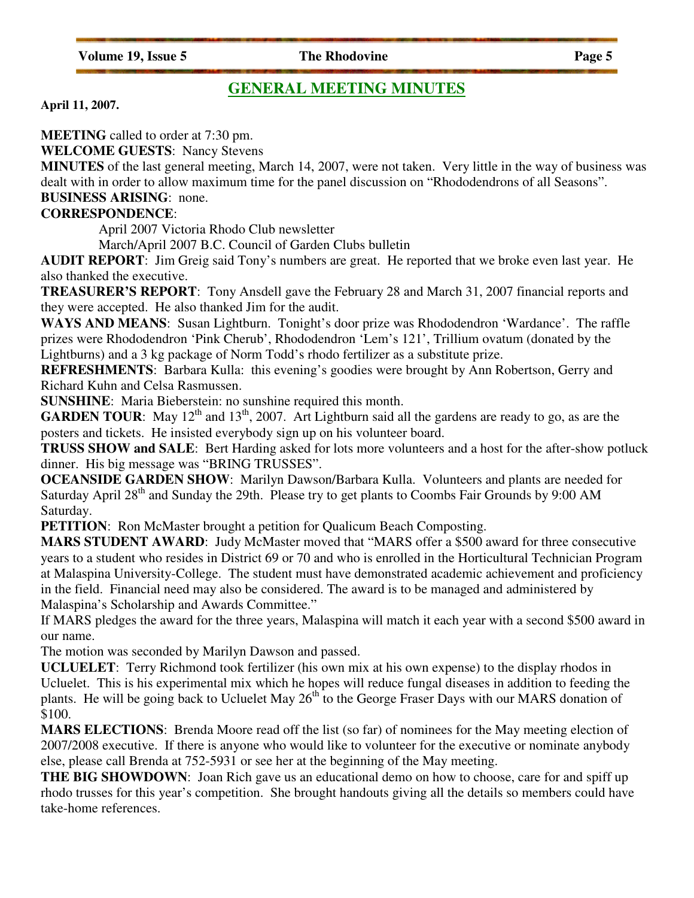**Volume 19, Issue 5 The Rhodovine Page 5** 

### **GENERAL MEETING MINUTES**

**April 11, 2007.** 

**MEETING** called to order at 7:30 pm.

**WELCOME GUESTS**: Nancy Stevens

**MINUTES** of the last general meeting, March 14, 2007, were not taken. Very little in the way of business was dealt with in order to allow maximum time for the panel discussion on "Rhododendrons of all Seasons". **BUSINESS ARISING**: none.

### **CORRESPONDENCE**:

April 2007 Victoria Rhodo Club newsletter

March/April 2007 B.C. Council of Garden Clubs bulletin

**AUDIT REPORT**: Jim Greig said Tony's numbers are great. He reported that we broke even last year. He also thanked the executive.

**TREASURER'S REPORT**: Tony Ansdell gave the February 28 and March 31, 2007 financial reports and they were accepted. He also thanked Jim for the audit.

WAYS AND MEANS: Susan Lightburn. Tonight's door prize was Rhododendron 'Wardance'. The raffle prizes were Rhododendron 'Pink Cherub', Rhododendron 'Lem's 121', Trillium ovatum (donated by the Lightburns) and a 3 kg package of Norm Todd's rhodo fertilizer as a substitute prize.

**REFRESHMENTS**: Barbara Kulla: this evening's goodies were brought by Ann Robertson, Gerry and Richard Kuhn and Celsa Rasmussen.

**SUNSHINE**: Maria Bieberstein: no sunshine required this month.

**GARDEN TOUR:** May  $12^{th}$  and  $13^{th}$ , 2007. Art Lightburn said all the gardens are ready to go, as are the posters and tickets. He insisted everybody sign up on his volunteer board.

**TRUSS SHOW and SALE**: Bert Harding asked for lots more volunteers and a host for the after-show potluck dinner. His big message was "BRING TRUSSES".

**OCEANSIDE GARDEN SHOW**: Marilyn Dawson/Barbara Kulla. Volunteers and plants are needed for Saturday April 28<sup>th</sup> and Sunday the 29th. Please try to get plants to Coombs Fair Grounds by 9:00 AM Saturday.

**PETITION:** Ron McMaster brought a petition for Qualicum Beach Composting.

**MARS STUDENT AWARD**: Judy McMaster moved that "MARS offer a \$500 award for three consecutive years to a student who resides in District 69 or 70 and who is enrolled in the Horticultural Technician Program at Malaspina University-College. The student must have demonstrated academic achievement and proficiency in the field. Financial need may also be considered. The award is to be managed and administered by Malaspina's Scholarship and Awards Committee."

If MARS pledges the award for the three years, Malaspina will match it each year with a second \$500 award in our name.

The motion was seconded by Marilyn Dawson and passed.

**UCLUELET**: Terry Richmond took fertilizer (his own mix at his own expense) to the display rhodos in Ucluelet. This is his experimental mix which he hopes will reduce fungal diseases in addition to feeding the plants. He will be going back to Ucluelet May  $26<sup>th</sup>$  to the George Fraser Days with our MARS donation of \$100.

**MARS ELECTIONS**: Brenda Moore read off the list (so far) of nominees for the May meeting election of 2007/2008 executive. If there is anyone who would like to volunteer for the executive or nominate anybody else, please call Brenda at 752-5931 or see her at the beginning of the May meeting.

**THE BIG SHOWDOWN**: Joan Rich gave us an educational demo on how to choose, care for and spiff up rhodo trusses for this year's competition. She brought handouts giving all the details so members could have take-home references.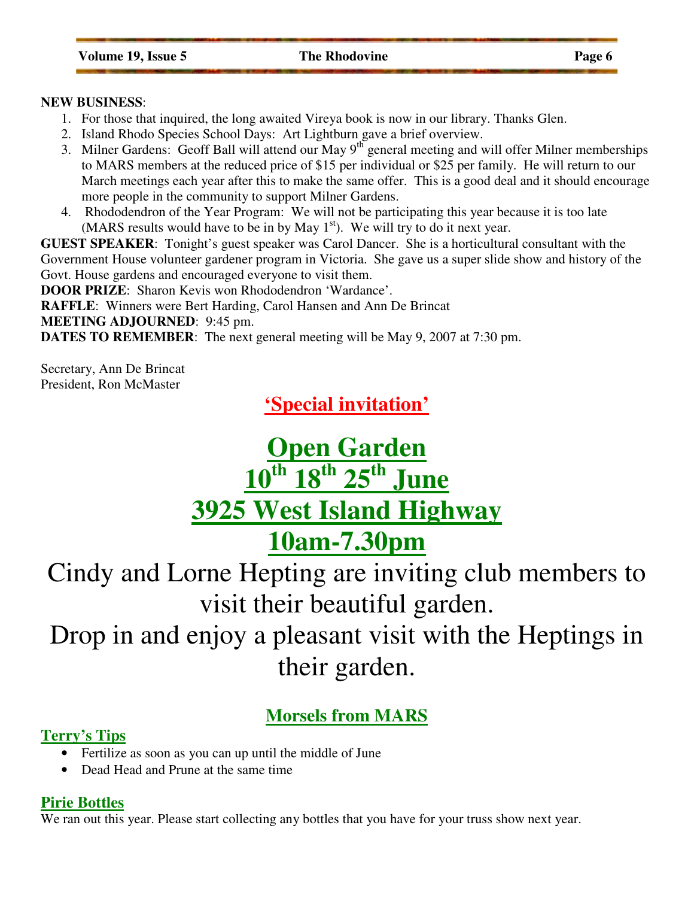### **NEW BUSINESS**:

- 1. For those that inquired, the long awaited Vireya book is now in our library. Thanks Glen.
- 2. Island Rhodo Species School Days: Art Lightburn gave a brief overview.
- 3. Milner Gardens: Geoff Ball will attend our May 9<sup>th</sup> general meeting and will offer Milner memberships to MARS members at the reduced price of \$15 per individual or \$25 per family. He will return to our March meetings each year after this to make the same offer. This is a good deal and it should encourage more people in the community to support Milner Gardens.
- 4. Rhododendron of the Year Program: We will not be participating this year because it is too late (MARS results would have to be in by May  $1<sup>st</sup>$ ). We will try to do it next year.

**GUEST SPEAKER**: Tonight's guest speaker was Carol Dancer. She is a horticultural consultant with the Government House volunteer gardener program in Victoria. She gave us a super slide show and history of the Govt. House gardens and encouraged everyone to visit them.

**DOOR PRIZE:** Sharon Kevis won Rhododendron 'Wardance'.

**RAFFLE**: Winners were Bert Harding, Carol Hansen and Ann De Brincat

**MEETING ADJOURNED**: 9:45 pm.

**DATES TO REMEMBER:** The next general meeting will be May 9, 2007 at 7:30 pm.

Secretary, Ann De Brincat President, Ron McMaster

**'Special invitation'**

# **Open Garden 10th 18th 25th June 3925 West Island Highway 10am-7.30pm**

Cindy and Lorne Hepting are inviting club members to visit their beautiful garden.

Drop in and enjoy a pleasant visit with the Heptings in their garden.

# **Morsels from MARS**

### **Terry's Tips**

- Fertilize as soon as you can up until the middle of June
- Dead Head and Prune at the same time

### **Pirie Bottles**

We ran out this year. Please start collecting any bottles that you have for your truss show next year.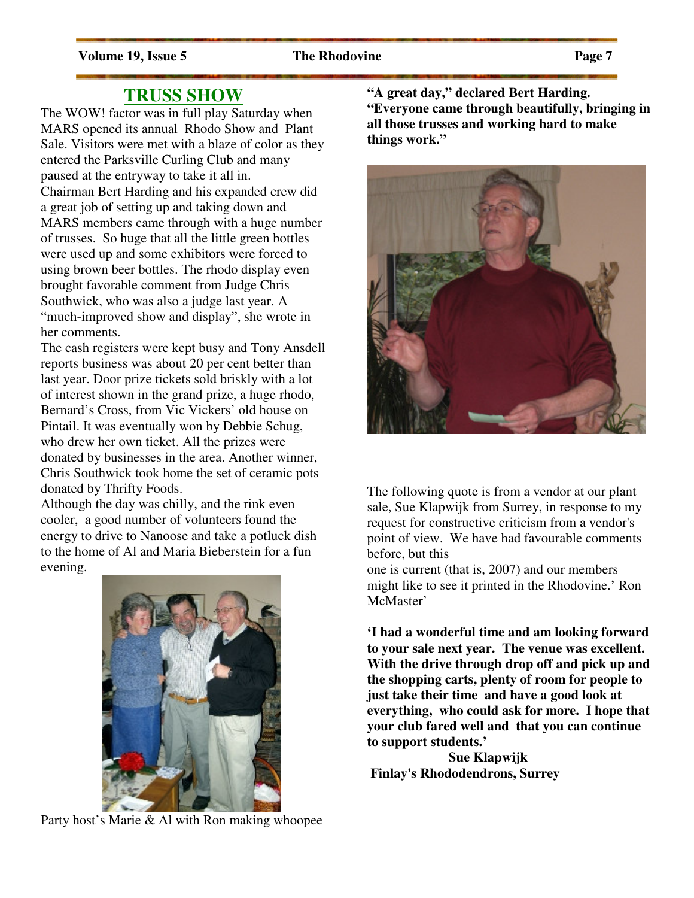### **TRUSS SHOW**

The WOW! factor was in full play Saturday when MARS opened its annual Rhodo Show and Plant Sale. Visitors were met with a blaze of color as they entered the Parksville Curling Club and many paused at the entryway to take it all in. Chairman Bert Harding and his expanded crew did a great job of setting up and taking down and MARS members came through with a huge number of trusses. So huge that all the little green bottles were used up and some exhibitors were forced to using brown beer bottles. The rhodo display even brought favorable comment from Judge Chris Southwick, who was also a judge last year. A "much-improved show and display", she wrote in her comments.

The cash registers were kept busy and Tony Ansdell reports business was about 20 per cent better than last year. Door prize tickets sold briskly with a lot of interest shown in the grand prize, a huge rhodo, Bernard's Cross, from Vic Vickers' old house on Pintail. It was eventually won by Debbie Schug, who drew her own ticket. All the prizes were donated by businesses in the area. Another winner, Chris Southwick took home the set of ceramic pots donated by Thrifty Foods.

Although the day was chilly, and the rink even cooler, a good number of volunteers found the energy to drive to Nanoose and take a potluck dish to the home of Al and Maria Bieberstein for a fun evening.



Party host's Marie & Al with Ron making whoopee

**"A great day," declared Bert Harding. "Everyone came through beautifully, bringing in all those trusses and working hard to make things work."** 



The following quote is from a vendor at our plant sale, Sue Klapwijk from Surrey, in response to my request for constructive criticism from a vendor's point of view. We have had favourable comments before, but this

one is current (that is, 2007) and our members might like to see it printed in the Rhodovine.' Ron McMaster'

**'I had a wonderful time and am looking forward to your sale next year. The venue was excellent. With the drive through drop off and pick up and the shopping carts, plenty of room for people to just take their time and have a good look at everything, who could ask for more. I hope that your club fared well and that you can continue to support students.'** 

 **Sue Klapwijk Finlay's Rhododendrons, Surrey**